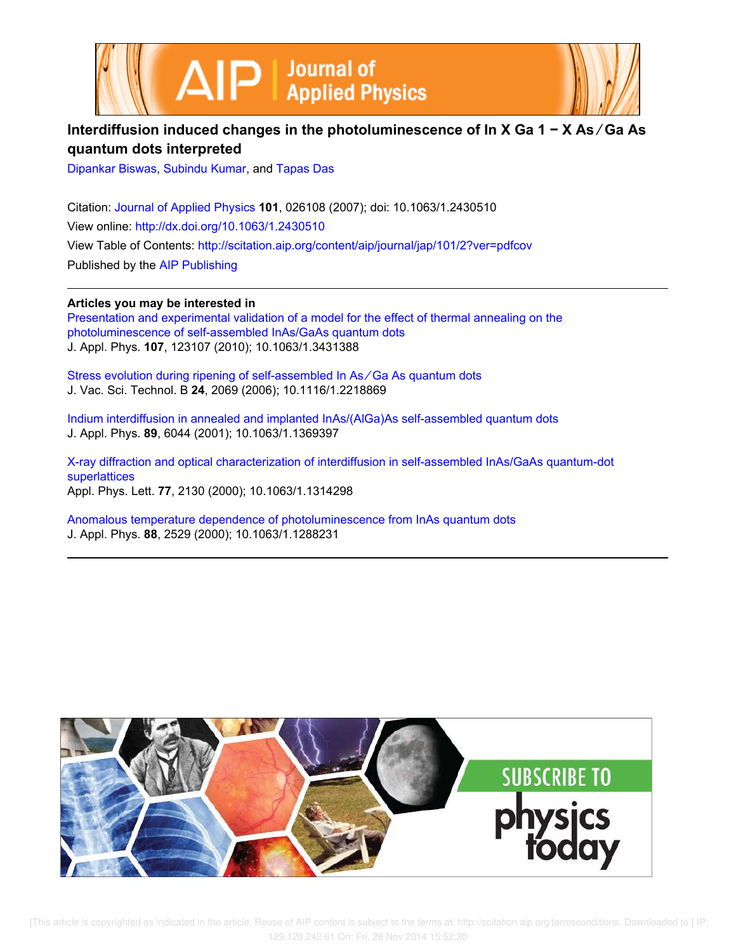



## **Interdiffusion induced changes in the photoluminescence of In X Ga 1 − X As ∕ Ga As quantum dots interpreted**

Dipankar Biswas, Subindu Kumar, and Tapas Das

Citation: Journal of Applied Physics **101**, 026108 (2007); doi: 10.1063/1.2430510 View online: http://dx.doi.org/10.1063/1.2430510 View Table of Contents: http://scitation.aip.org/content/aip/journal/jap/101/2?ver=pdfcov Published by the AIP Publishing

**Articles you may be interested in** Presentation and experimental validation of a model for the effect of thermal annealing on the photoluminescence of self-assembled InAs/GaAs quantum dots J. Appl. Phys. **107**, 123107 (2010); 10.1063/1.3431388

Stress evolution during ripening of self-assembled In As ∕ Ga As quantum dots J. Vac. Sci. Technol. B **24**, 2069 (2006); 10.1116/1.2218869

Indium interdiffusion in annealed and implanted InAs/(AlGa)As self-assembled quantum dots J. Appl. Phys. **89**, 6044 (2001); 10.1063/1.1369397

X-ray diffraction and optical characterization of interdiffusion in self-assembled InAs/GaAs quantum-dot superlattices Appl. Phys. Lett. **77**, 2130 (2000); 10.1063/1.1314298

Anomalous temperature dependence of photoluminescence from InAs quantum dots J. Appl. Phys. **88**, 2529 (2000); 10.1063/1.1288231

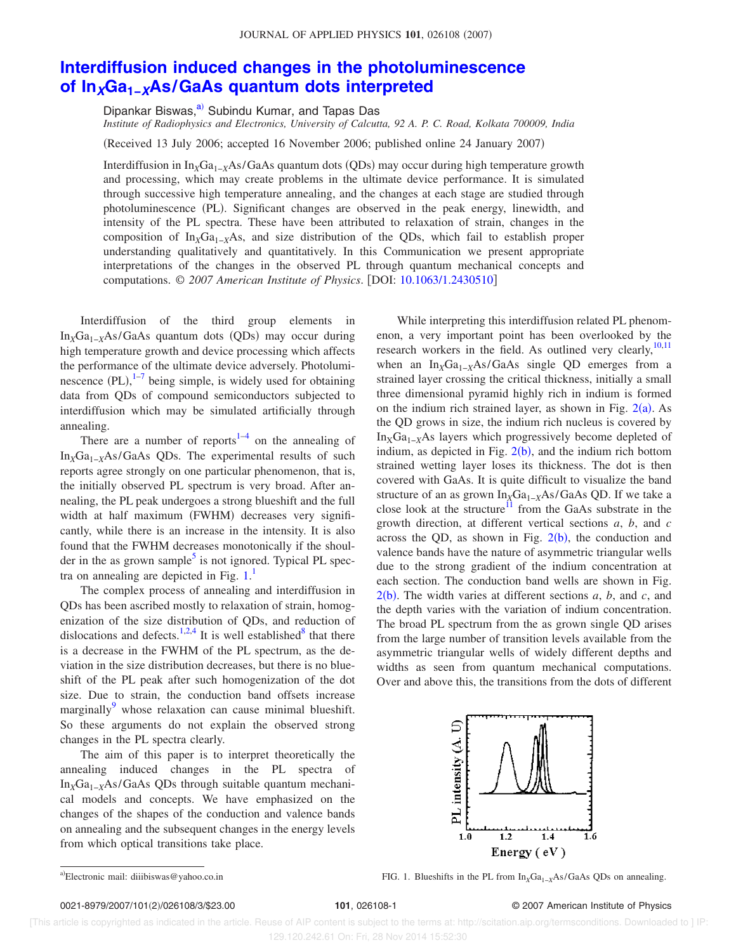## **Interdiffusion induced changes in the photoluminescence of InXGa1−XAs/GaAs quantum dots interpreted**

Dipankar Biswas,<sup>a)</sup> Subindu Kumar, and Tapas Das

*Institute of Radiophysics and Electronics, University of Calcutta, 92 A. P. C. Road, Kolkata 700009, India*

(Received 13 July 2006; accepted 16 November 2006; published online 24 January 2007)

Interdiffusion in In<sub>X</sub>Ga<sub>1−X</sub>As/GaAs quantum dots (QDs) may occur during high temperature growth and processing, which may create problems in the ultimate device performance. It is simulated through successive high temperature annealing, and the changes at each stage are studied through photoluminescence (PL). Significant changes are observed in the peak energy, linewidth, and intensity of the PL spectra. These have been attributed to relaxation of strain, changes in the composition of In*X*Ga1−*X*As, and size distribution of the QDs, which fail to establish proper understanding qualitatively and quantitatively. In this Communication we present appropriate interpretations of the changes in the observed PL through quantum mechanical concepts and computations. © 2007 American Institute of Physics. [DOI: 10.1063/1.2430510]

Interdiffusion of the third group elements in In<sub>X</sub>Ga<sub>1−X</sub>As/GaAs quantum dots (QDs) may occur during high temperature growth and device processing which affects the performance of the ultimate device adversely. Photoluminescence  $(PL)$ ,  $1-7$  being simple, is widely used for obtaining data from QDs of compound semiconductors subjected to interdiffusion which may be simulated artificially through annealing.

There are a number of reports<sup>1-4</sup> on the annealing of In<sub>*X*</sub>Ga<sub>1−*X*</sub>As/GaAs QDs. The experimental results of such reports agree strongly on one particular phenomenon, that is, the initially observed PL spectrum is very broad. After annealing, the PL peak undergoes a strong blueshift and the full width at half maximum (FWHM) decreases very significantly, while there is an increase in the intensity. It is also found that the FWHM decreases monotonically if the shoulder in the as grown sample<sup>5</sup> is not ignored. Typical PL spectra on annealing are depicted in Fig.  $1<sup>1</sup>$ 

The complex process of annealing and interdiffusion in QDs has been ascribed mostly to relaxation of strain, homogenization of the size distribution of QDs, and reduction of dislocations and defects.<sup>1,2,4</sup> It is well established<sup>8</sup> that there is a decrease in the FWHM of the PL spectrum, as the deviation in the size distribution decreases, but there is no blueshift of the PL peak after such homogenization of the dot size. Due to strain, the conduction band offsets increase marginally $\mu$ <sup>9</sup> whose relaxation can cause minimal blueshift. So these arguments do not explain the observed strong changes in the PL spectra clearly.

The aim of this paper is to interpret theoretically the annealing induced changes in the PL spectra of In*X*Ga1−*X*As/GaAs QDs through suitable quantum mechanical models and concepts. We have emphasized on the changes of the shapes of the conduction and valence bands on annealing and the subsequent changes in the energy levels from which optical transitions take place.

While interpreting this interdiffusion related PL phenomenon, a very important point has been overlooked by the research workers in the field. As outlined very clearly,  $10,11$ when an In<sub>*X*</sub>Ga<sub>1−*X*</sub>As/GaAs single QD emerges from a strained layer crossing the critical thickness, initially a small three dimensional pyramid highly rich in indium is formed on the indium rich strained layer, as shown in Fig.  $2(a)$ . As the QD grows in size, the indium rich nucleus is covered by In<sub>X</sub>Ga<sub>1−*X*</sub>As layers which progressively become depleted of indium, as depicted in Fig.  $2(b)$ , and the indium rich bottom strained wetting layer loses its thickness. The dot is then covered with GaAs. It is quite difficult to visualize the band structure of an as grown In<sub>X</sub>Ga<sub>1−X</sub>As/GaAs QD. If we take a close look at the structure $11$  from the GaAs substrate in the growth direction, at different vertical sections *a*, *b*, and *c* across the QD, as shown in Fig.  $2(b)$ , the conduction and valence bands have the nature of asymmetric triangular wells due to the strong gradient of the indium concentration at each section. The conduction band wells are shown in Fig.  $2(b)$ . The width varies at different sections  $a, b$ , and  $c$ , and the depth varies with the variation of indium concentration. The broad PL spectrum from the as grown single QD arises from the large number of transition levels available from the asymmetric triangular wells of widely different depths and widths as seen from quantum mechanical computations. Over and above this, the transitions from the dots of different



FIG. 1. Blueshifts in the PL from In<sub>X</sub>Ga<sub>1-*X*</sub>As/GaAs QDs on annealing.

 [This article is copyrighted as indicated in the article. Reuse of AIP content is subject to the terms at: http://scitation.aip.org/termsconditions. Downloaded to ] IP: 129.120.242.61 On: Fri, 28 Nov 2014 15:52:30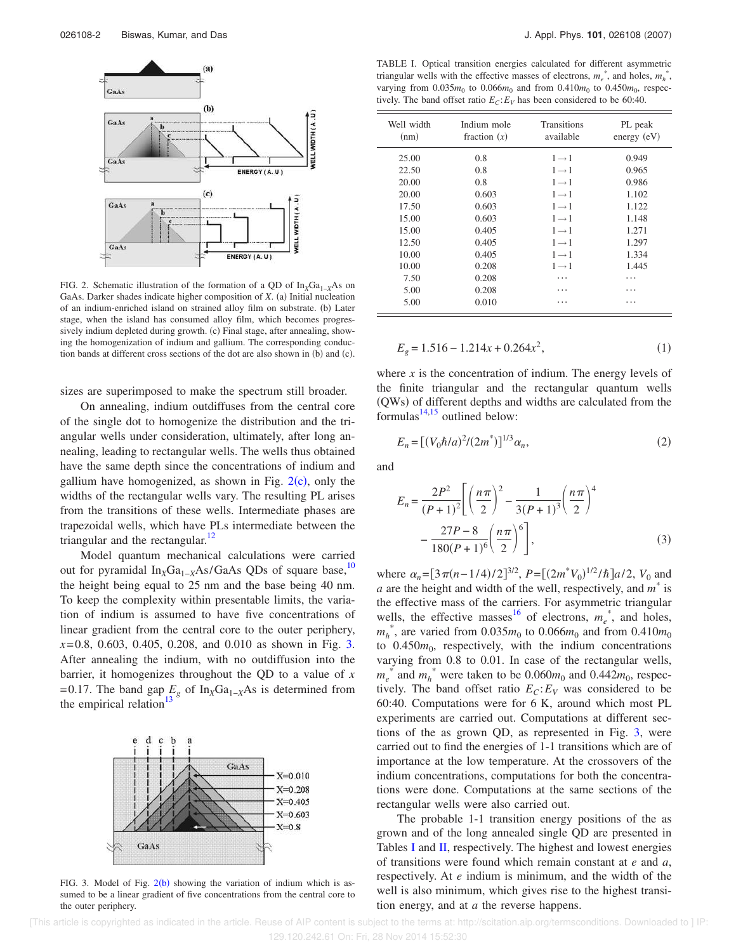

FIG. 2. Schematic illustration of the formation of a QD of In<sub>X</sub>Ga<sub>1−*X*</sub>As on GaAs. Darker shades indicate higher composition of *X*. (a) Initial nucleation of an indium-enriched island on strained alloy film on substrate. (b) Later stage, when the island has consumed alloy film, which becomes progressively indium depleted during growth. (c) Final stage, after annealing, showing the homogenization of indium and gallium. The corresponding conduction bands at different cross sections of the dot are also shown in  $(b)$  and  $(c)$ .

sizes are superimposed to make the spectrum still broader.

On annealing, indium outdiffuses from the central core of the single dot to homogenize the distribution and the triangular wells under consideration, ultimately, after long annealing, leading to rectangular wells. The wells thus obtained have the same depth since the concentrations of indium and gallium have homogenized, as shown in Fig.  $2(c)$ , only the widths of the rectangular wells vary. The resulting PL arises from the transitions of these wells. Intermediate phases are trapezoidal wells, which have PLs intermediate between the triangular and the rectangular. $12$ 

Model quantum mechanical calculations were carried out for pyramidal In<sub>X</sub>Ga<sub>1−*X*</sub>As/GaAs QDs of square base,<sup>10</sup> the height being equal to 25 nm and the base being 40 nm. To keep the complexity within presentable limits, the variation of indium is assumed to have five concentrations of linear gradient from the central core to the outer periphery, *x*= 0.8, 0.603, 0.405, 0.208, and 0.010 as shown in Fig. 3. After annealing the indium, with no outdiffusion into the barrier, it homogenizes throughout the QD to a value of *x* = 0.17. The band gap  $E_g$  of In<sub>X</sub>Ga<sub>1−*X*</sub>As is determined from the empirical relation<sup>13</sup>



FIG. 3. Model of Fig.  $2(b)$  showing the variation of indium which is assumed to be a linear gradient of five concentrations from the central core to the outer periphery.

TABLE I. Optical transition energies calculated for different asymmetric triangular wells with the effective masses of electrons,  $m_e^*$ , and holes,  $m_h^*$ , varying from  $0.035m_0$  to  $0.066m_0$  and from  $0.410m_0$  to  $0.450m_0$ , respectively. The band offset ratio  $E_C$ :  $E_V$  has been considered to be 60:40.

| Well width<br>(nm) | Indium mole<br>fraction $(x)$ | <b>Transitions</b><br>available | PL peak<br>energy (eV) |
|--------------------|-------------------------------|---------------------------------|------------------------|
| 25.00              | 0.8                           | $1 \rightarrow 1$               | 0.949                  |
| 22.50              | 0.8                           | $1 \rightarrow 1$               | 0.965                  |
| 20.00              | 0.8                           | $1 \rightarrow 1$               | 0.986                  |
| 20.00              | 0.603                         | $1 \rightarrow 1$               | 1.102                  |
| 17.50              | 0.603                         | $1 \rightarrow 1$               | 1.122                  |
| 15.00              | 0.603                         | $1 \rightarrow 1$               | 1.148                  |
| 15.00              | 0.405                         | $1 \rightarrow 1$               | 1.271                  |
| 12.50              | 0.405                         | $1 \rightarrow 1$               | 1.297                  |
| 10.00              | 0.405                         | $1 \rightarrow 1$               | 1.334                  |
| 10.00              | 0.208                         | $1 \rightarrow 1$               | 1.445                  |
| 7.50               | 0.208                         | .                               | .                      |
| 5.00               | 0.208                         |                                 |                        |
| 5.00               | 0.010                         | .                               | .                      |

$$
E_g = 1.516 - 1.214x + 0.264x^2,\tag{1}
$$

where *x* is the concentration of indium. The energy levels of the finite triangular and the rectangular quantum wells (QWs) of different depths and widths are calculated from the formulas $^{14,15}$  outlined below:

$$
E_n = [(V_0 \hbar / a)^2 / (2m^*)]^{1/3} \alpha_n,
$$
\n(2)

and

$$
E_n = \frac{2P^2}{(P+1)^2} \left[ \left(\frac{n\pi}{2}\right)^2 - \frac{1}{3(P+1)^3} \left(\frac{n\pi}{2}\right)^4 - \frac{27P - 8}{180(P+1)^6} \left(\frac{n\pi}{2}\right)^6 \right],
$$
 (3)

where  $\alpha_n = [3\pi(n-1/4)/2]^{3/2}$ ,  $P = [(2m^*V_0)^{1/2}/\hbar]a/2$ ,  $V_0$  and *a* are the height and width of the well, respectively, and *m* \* is the effective mass of the carriers. For asymmetric triangular wells, the effective masses<sup>16</sup> of electrons,  $m_e^*$ , and holes,  $m_h^*$ , are varied from 0.035 $m_0$  to 0.066 $m_0$  and from 0.410 $m_0$ to  $0.450m_0$ , respectively, with the indium concentrations varying from 0.8 to 0.01. In case of the rectangular wells,  $m_e^*$  and  $m_h^*$  were taken to be 0.060 $m_0$  and 0.442 $m_0$ , respectively. The band offset ratio  $E_C$ :  $E_V$  was considered to be 60:40. Computations were for 6 K, around which most PL experiments are carried out. Computations at different sections of the as grown QD, as represented in Fig. 3, were carried out to find the energies of 1-1 transitions which are of importance at the low temperature. At the crossovers of the indium concentrations, computations for both the concentrations were done. Computations at the same sections of the rectangular wells were also carried out.

The probable 1-1 transition energy positions of the as grown and of the long annealed single QD are presented in Tables I and II, respectively. The highest and lowest energies of transitions were found which remain constant at *e* and *a*, respectively. At *e* indium is minimum, and the width of the well is also minimum, which gives rise to the highest transition energy, and at *a* the reverse happens.

 [This article is copyrighted as indicated in the article. Reuse of AIP content is subject to the terms at: http://scitation.aip.org/termsconditions. Downloaded to ] IP: 129.120.242.61 On: Fri, 28 Nov 2014 15:52:30